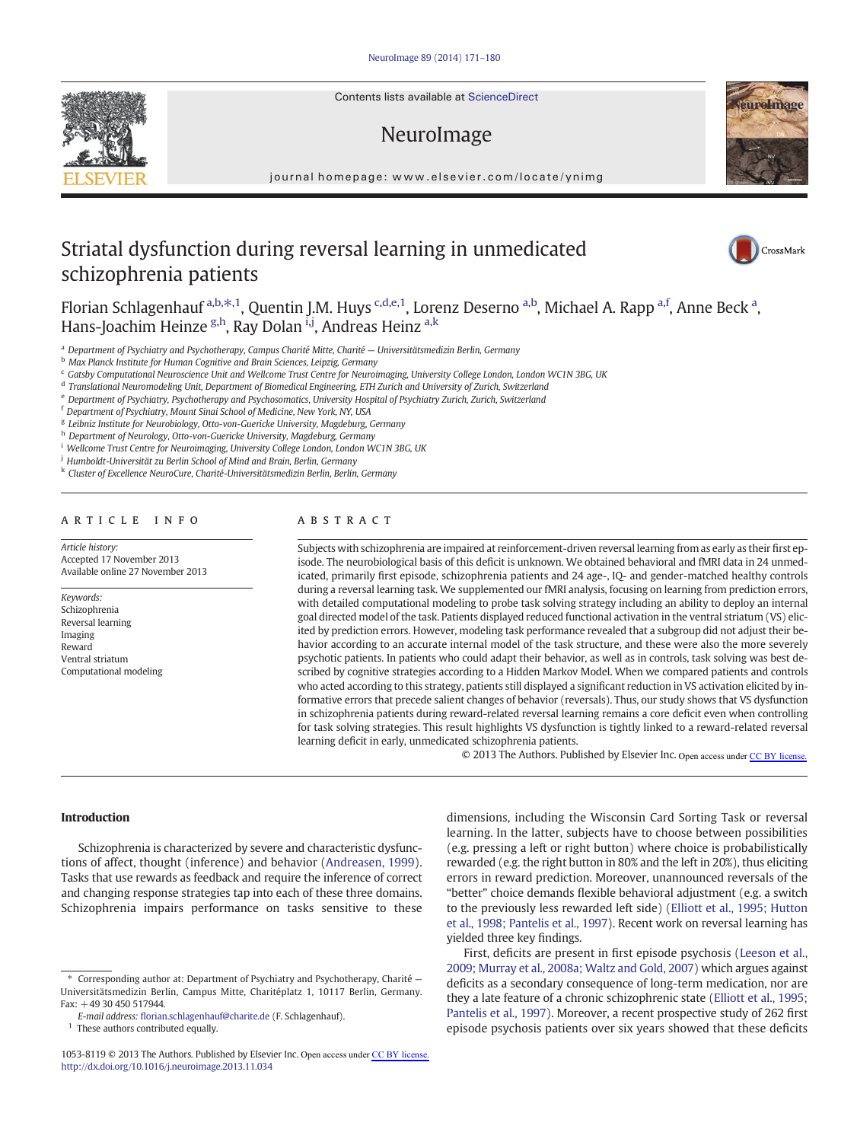#### [NeuroImage 89 \(2014\) 171](http://dx.doi.org/10.1016/j.neuroimage.2013.11.034)–180

Contents lists available at ScienceDirect

# NeuroImage

journal homepage: www.elsevier.com/locate/ynimg

# Striatal dysfunction during reversal learning in unmedicated schizophrenia patients

Florian Schlagenhauf <sup>a,b, $\ast$ ,1, Quentin J.M. Huys <sup>c,d,e,1</sup>, Lorenz Deserno <sup>a,b</sup>, Michael A. Rapp <sup>a,f</sup>, Anne Beck <sup>a</sup>,</sup> Hans-Joachim Heinze <sup>g,h</sup>, Ray Dolan <sup>i,j</sup>, Andreas Heinz <sup>a,k</sup>

<sup>a</sup> Department of Psychiatry and Psychotherapy, Campus Charité Mitte, Charité — Universitätsmedizin Berlin, Germany

**b** Max Planck Institute for Human Cognitive and Brain Sciences, Leipzig, Germany

<sup>c</sup> Gatsby Computational Neuroscience Unit and Wellcome Trust Centre for Neuroimaging, University College London, London WC1N 3BG, UK

<sup>d</sup> Translational Neuromodeling Unit, Department of Biomedical Engineering, ETH Zurich and University of Zurich, Switzerland

<sup>e</sup> Department of Psychiatry, Psychotherapy and Psychosomatics, University Hospital of Psychiatry Zurich, Zurich, Switzerland

<sup>f</sup> Department of Psychiatry, Mount Sinai School of Medicine, New York, NY, USA

<sup>g</sup> Leibniz Institute for Neurobiology, Otto-von-Guericke University, Magdeburg, Germany

h Department of Neurology, Otto-von-Guericke University, Magdeburg, Germany

<sup>i</sup> Wellcome Trust Centre for Neuroimaging, University College London, London WC1N 3BG, UK

<sup>j</sup> Humboldt-Universität zu Berlin School of Mind and Brain, Berlin, Germany

<sup>k</sup> Cluster of Excellence NeuroCure, Charité-Universitätsmedizin Berlin, Berlin, Germany

# article info abstract

Article history: Accepted 17 November 2013 Available online 27 November 2013

Keywords: Schizophrenia Reversal learning Imaging Reward Ventral striatum Computational modeling

Subjects with schizophrenia are impaired at reinforcement-driven reversal learning from as early as their first episode. The neurobiological basis of this deficit is unknown. We obtained behavioral and fMRI data in 24 unmedicated, primarily first episode, schizophrenia patients and 24 age-, IQ- and gender-matched healthy controls during a reversal learning task. We supplemented our fMRI analysis, focusing on learning from prediction errors, with detailed computational modeling to probe task solving strategy including an ability to deploy an internal goal directed model of the task. Patients displayed reduced functional activation in the ventral striatum (VS) elicited by prediction errors. However, modeling task performance revealed that a subgroup did not adjust their behavior according to an accurate internal model of the task structure, and these were also the more severely psychotic patients. In patients who could adapt their behavior, as well as in controls, task solving was best described by cognitive strategies according to a Hidden Markov Model. When we compared patients and controls who acted according to this strategy, patients still displayed a significant reduction in VS activation elicited by informative errors that precede salient changes of behavior (reversals). Thus, our study shows that VS dysfunction in schizophrenia patients during reward-related reversal learning remains a core deficit even when controlling for task solving strategies. This result highlights VS dysfunction is tightly linked to a reward-related reversal learning deficit in early, unmedicated schizophrenia patients.

© 2013 The Authors. Published by Elsevier Inc. Open access under [CC BY license.](http://creativecommons.org/licenses/by/3.0/)

# Introduction

Schizophrenia is characterized by severe and characteristic dysfunctions of affect, thought (inference) and behavior ([Andreasen, 1999](#page-8-0)). Tasks that use rewards as feedback and require the inference of correct and changing response strategies tap into each of these three domains. Schizophrenia impairs performance on tasks sensitive to these

<sup>1</sup> These authors contributed equally.

dimensions, including the Wisconsin Card Sorting Task or reversal learning. In the latter, subjects have to choose between possibilities (e.g. pressing a left or right button) where choice is probabilistically rewarded (e.g. the right button in 80% and the left in 20%), thus eliciting errors in reward prediction. Moreover, unannounced reversals of the "better" choice demands flexible behavioral adjustment (e.g. a switch to the previously less rewarded left side) ([Elliott et al., 1995; Hutton](#page-8-0) [et al., 1998; Pantelis et al., 1997](#page-8-0)). Recent work on reversal learning has yielded three key findings.

First, deficits are present in first episode psychosis [\(Leeson et al.,](#page-9-0) [2009; Murray et al., 2008a; Waltz and Gold, 2007](#page-9-0)) which argues against deficits as a secondary consequence of long-term medication, nor are they a late feature of a chronic schizophrenic state [\(Elliott et al., 1995;](#page-8-0) [Pantelis et al., 1997\)](#page-8-0). Moreover, a recent prospective study of 262 first episode psychosis patients over six years showed that these deficits





<sup>⁎</sup> Corresponding author at: Department of Psychiatry and Psychotherapy, Charité — Universitätsmedizin Berlin, Campus Mitte, Charitéplatz 1, 10117 Berlin, Germany.  $Fax: +4930450517944.$ 

E-mail address: fl[orian.schlagenhauf@charite.de](mailto:florian.schlagenhauf@charite.de) (F. Schlagenhauf).

<sup>1053-8119</sup> © 2013 The Authors. Published by Elsevier Inc. Open access under [CC BY license.](http://creativecommons.org/licenses/by/3.0/)<http://dx.doi.org/10.1016/j.neuroimage.2013.11.034>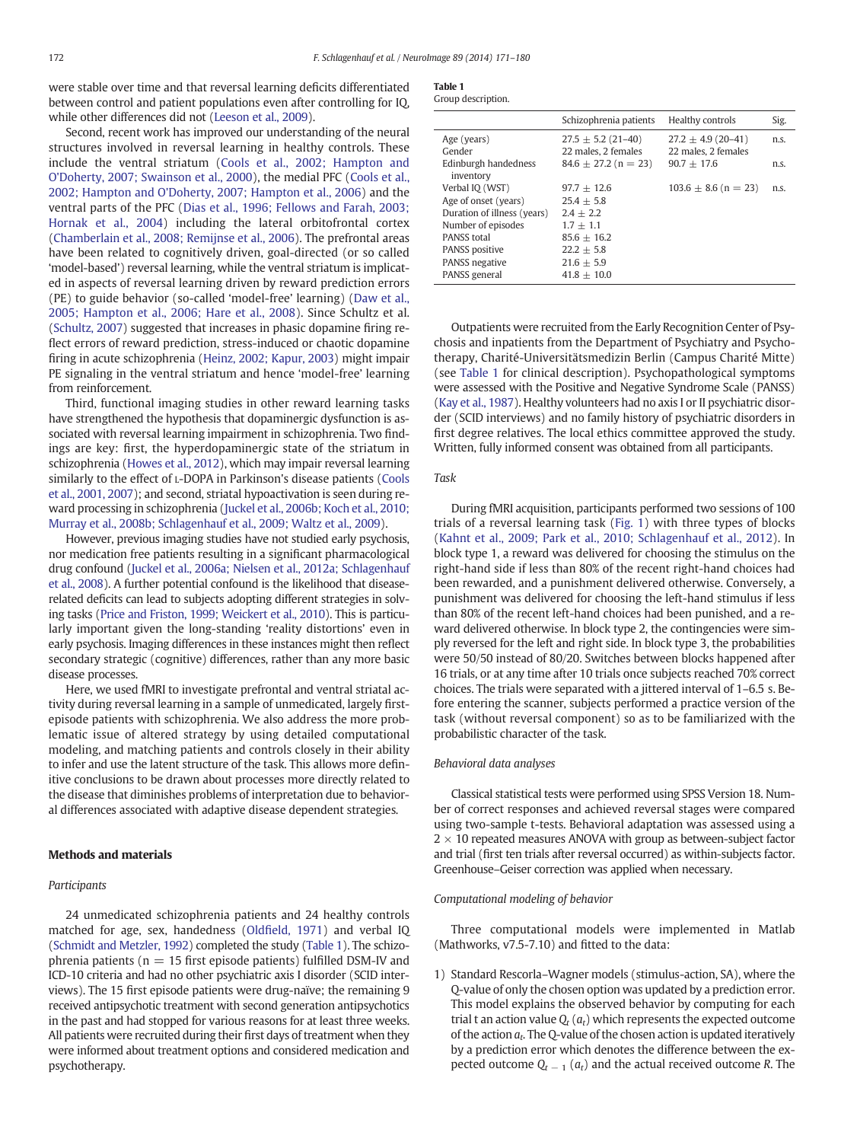were stable over time and that reversal learning deficits differentiated between control and patient populations even after controlling for IQ, while other differences did not [\(Leeson et al., 2009\)](#page-9-0).

Second, recent work has improved our understanding of the neural structures involved in reversal learning in healthy controls. These include the ventral striatum ([Cools et al., 2002; Hampton and](#page-8-0) [O'Doherty, 2007; Swainson et al., 2000\)](#page-8-0), the medial PFC ([Cools et al.,](#page-8-0) [2002; Hampton and O'Doherty, 2007; Hampton et al., 2006](#page-8-0)) and the ventral parts of the PFC [\(Dias et al., 1996; Fellows and Farah, 2003;](#page-8-0) [Hornak et al., 2004](#page-8-0)) including the lateral orbitofrontal cortex [\(Chamberlain et al., 2008; Remijnse et al., 2006\)](#page-8-0). The prefrontal areas have been related to cognitively driven, goal-directed (or so called 'model-based') reversal learning, while the ventral striatum is implicated in aspects of reversal learning driven by reward prediction errors (PE) to guide behavior (so-called 'model-free' learning) ([Daw et al.,](#page-8-0) [2005; Hampton et al., 2006; Hare et al., 2008\)](#page-8-0). Since Schultz et al. [\(Schultz, 2007](#page-9-0)) suggested that increases in phasic dopamine firing reflect errors of reward prediction, stress-induced or chaotic dopamine firing in acute schizophrenia [\(Heinz, 2002; Kapur, 2003](#page-8-0)) might impair PE signaling in the ventral striatum and hence 'model-free' learning from reinforcement.

Third, functional imaging studies in other reward learning tasks have strengthened the hypothesis that dopaminergic dysfunction is associated with reversal learning impairment in schizophrenia. Two findings are key: first, the hyperdopaminergic state of the striatum in schizophrenia [\(Howes et al., 2012\)](#page-8-0), which may impair reversal learning similarly to the effect of L-DOPA in Parkinson's disease patients [\(Cools](#page-8-0) [et al., 2001, 2007\)](#page-8-0); and second, striatal hypoactivation is seen during reward processing in schizophrenia [\(Juckel et al., 2006b; Koch et al., 2010;](#page-8-0) [Murray et al., 2008b; Schlagenhauf et al., 2009; Waltz et al., 2009](#page-8-0)).

However, previous imaging studies have not studied early psychosis, nor medication free patients resulting in a significant pharmacological drug confound [\(Juckel et al., 2006a; Nielsen et al., 2012a; Schlagenhauf](#page-8-0) [et al., 2008\)](#page-8-0). A further potential confound is the likelihood that diseaserelated deficits can lead to subjects adopting different strategies in solving tasks ([Price and Friston, 1999; Weickert et al., 2010\)](#page-9-0). This is particularly important given the long-standing 'reality distortions' even in early psychosis. Imaging differences in these instances might then reflect secondary strategic (cognitive) differences, rather than any more basic disease processes.

Here, we used fMRI to investigate prefrontal and ventral striatal activity during reversal learning in a sample of unmedicated, largely firstepisode patients with schizophrenia. We also address the more problematic issue of altered strategy by using detailed computational modeling, and matching patients and controls closely in their ability to infer and use the latent structure of the task. This allows more definitive conclusions to be drawn about processes more directly related to the disease that diminishes problems of interpretation due to behavioral differences associated with adaptive disease dependent strategies.

# Methods and materials

#### Participants

24 unmedicated schizophrenia patients and 24 healthy controls matched for age, sex, handedness (Oldfi[eld, 1971\)](#page-9-0) and verbal IQ [\(Schmidt and Metzler, 1992](#page-9-0)) completed the study (Table 1). The schizophrenia patients ( $n = 15$  first episode patients) fulfilled DSM-IV and ICD-10 criteria and had no other psychiatric axis I disorder (SCID interviews). The 15 first episode patients were drug-naïve; the remaining 9 received antipsychotic treatment with second generation antipsychotics in the past and had stopped for various reasons for at least three weeks. All patients were recruited during their first days of treatment when they were informed about treatment options and considered medication and psychotherapy.

| Table 1            |
|--------------------|
| Group description. |

| Schizophrenia patients   | Healthy controls         | Sig. |
|--------------------------|--------------------------|------|
| $27.5 \pm 5.2$ (21-40)   | $27.2 \pm 4.9(20 - 41)$  | n.s. |
| 22 males, 2 females      | 22 males, 2 females      |      |
| $84.6 \pm 27.2$ (n = 23) | $90.7 + 17.6$            | n.s. |
| $97.7 + 12.6$            | $103.6 \pm 8.6$ (n = 23) | n.s. |
| $25.4 + 5.8$             |                          |      |
| $2.4 + 2.2$              |                          |      |
| $1.7 + 1.1$              |                          |      |
| $85.6 + 16.2$            |                          |      |
| $22.2 + 5.8$             |                          |      |
| $21.6 + 5.9$             |                          |      |
| $41.8 + 10.0$            |                          |      |
|                          |                          |      |

Outpatients were recruited from the Early Recognition Center of Psychosis and inpatients from the Department of Psychiatry and Psychotherapy, Charité-Universitätsmedizin Berlin (Campus Charité Mitte) (see Table 1 for clinical description). Psychopathological symptoms were assessed with the Positive and Negative Syndrome Scale (PANSS) [\(Kay et al., 1987](#page-8-0)). Healthy volunteers had no axis I or II psychiatric disorder (SCID interviews) and no family history of psychiatric disorders in first degree relatives. The local ethics committee approved the study. Written, fully informed consent was obtained from all participants.

#### Task

During fMRI acquisition, participants performed two sessions of 100 trials of a reversal learning task ([Fig. 1\)](#page-2-0) with three types of blocks [\(Kahnt et al., 2009; Park et al., 2010; Schlagenhauf et al., 2012](#page-8-0)). In block type 1, a reward was delivered for choosing the stimulus on the right-hand side if less than 80% of the recent right-hand choices had been rewarded, and a punishment delivered otherwise. Conversely, a punishment was delivered for choosing the left-hand stimulus if less than 80% of the recent left-hand choices had been punished, and a reward delivered otherwise. In block type 2, the contingencies were simply reversed for the left and right side. In block type 3, the probabilities were 50/50 instead of 80/20. Switches between blocks happened after 16 trials, or at any time after 10 trials once subjects reached 70% correct choices. The trials were separated with a jittered interval of 1–6.5 s. Before entering the scanner, subjects performed a practice version of the task (without reversal component) so as to be familiarized with the probabilistic character of the task.

#### Behavioral data analyses

Classical statistical tests were performed using SPSS Version 18. Number of correct responses and achieved reversal stages were compared using two-sample t-tests. Behavioral adaptation was assessed using a  $2 \times 10$  repeated measures ANOVA with group as between-subject factor and trial (first ten trials after reversal occurred) as within-subjects factor. Greenhouse–Geiser correction was applied when necessary.

### Computational modeling of behavior

Three computational models were implemented in Matlab (Mathworks, v7.5-7.10) and fitted to the data:

1) Standard Rescorla–Wagner models (stimulus-action, SA), where the Q-value of only the chosen option was updated by a prediction error. This model explains the observed behavior by computing for each trial t an action value  $Q_t$  ( $a_t$ ) which represents the expected outcome of the action  $a_t$ . The Q-value of the chosen action is updated iteratively by a prediction error which denotes the difference between the expected outcome  $Q_{t-1}$  ( $a_t$ ) and the actual received outcome R. The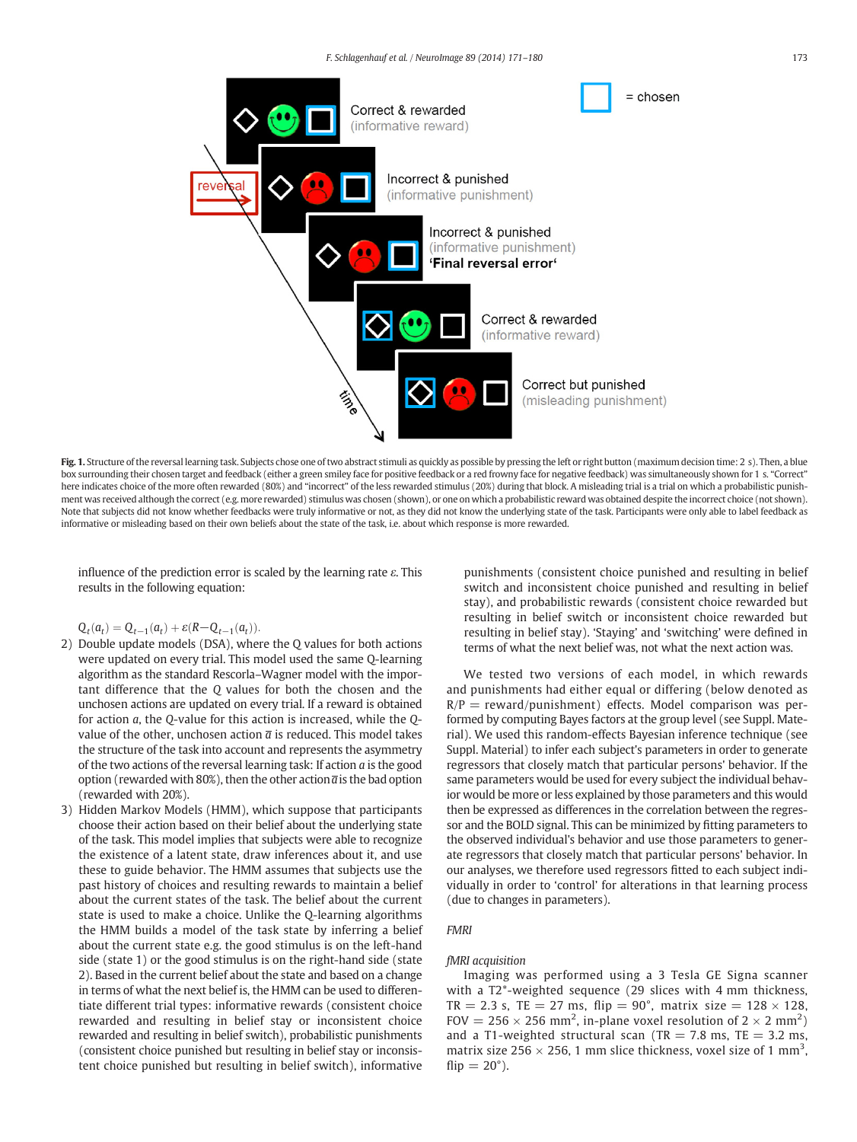<span id="page-2-0"></span>

Fig. 1. Structure of the reversal learning task. Subjects chose one of two abstract stimuli as quickly as possible by pressing the left or right button (maximum decision time: 2 s). Then, a blue box surrounding their chosen target and feedback (either a green smiley face for positive feedback or a red frowny face for negative feedback) was simultaneously shown for 1 s. "Correct" here indicates choice of the more often rewarded (80%) and "incorrect" of the less rewarded stimulus (20%) during that block. A misleading trial is a trial on which a probabilistic punishment was received although the correct (e.g. more rewarded) stimulus was chosen (shown), or one on which a probabilistic reward was obtained despite the incorrect choice (not shown). Note that subjects did not know whether feedbacks were truly informative or not, as they did not know the underlying state of the task. Participants were only able to label feedback as informative or misleading based on their own beliefs about the state of the task, i.e. about which response is more rewarded.

influence of the prediction error is scaled by the learning rate  $\varepsilon$ . This results in the following equation:

 $Q_t(a_t) = Q_{t-1}(a_t) + \varepsilon (R-Q_{t-1}(a_t)).$ 

- 2) Double update models (DSA), where the Q values for both actions were updated on every trial. This model used the same Q-learning algorithm as the standard Rescorla–Wagner model with the important difference that the Q values for both the chosen and the unchosen actions are updated on every trial. If a reward is obtained for action a, the Q-value for this action is increased, while the Qvalue of the other, unchosen action  $\overline{a}$  is reduced. This model takes the structure of the task into account and represents the asymmetry of the two actions of the reversal learning task: If action a is the good option (rewarded with 80%), then the other action  $\overline{a}$  is the bad option (rewarded with 20%).
- 3) Hidden Markov Models (HMM), which suppose that participants choose their action based on their belief about the underlying state of the task. This model implies that subjects were able to recognize the existence of a latent state, draw inferences about it, and use these to guide behavior. The HMM assumes that subjects use the past history of choices and resulting rewards to maintain a belief about the current states of the task. The belief about the current state is used to make a choice. Unlike the Q-learning algorithms the HMM builds a model of the task state by inferring a belief about the current state e.g. the good stimulus is on the left-hand side (state 1) or the good stimulus is on the right-hand side (state 2). Based in the current belief about the state and based on a change in terms of what the next belief is, the HMM can be used to differentiate different trial types: informative rewards (consistent choice rewarded and resulting in belief stay or inconsistent choice rewarded and resulting in belief switch), probabilistic punishments (consistent choice punished but resulting in belief stay or inconsistent choice punished but resulting in belief switch), informative

punishments (consistent choice punished and resulting in belief switch and inconsistent choice punished and resulting in belief stay), and probabilistic rewards (consistent choice rewarded but resulting in belief switch or inconsistent choice rewarded but resulting in belief stay). 'Staying' and 'switching' were defined in terms of what the next belief was, not what the next action was.

We tested two versions of each model, in which rewards and punishments had either equal or differing (below denoted as  $R/P =$  reward/punishment) effects. Model comparison was performed by computing Bayes factors at the group level (see Suppl. Material). We used this random-effects Bayesian inference technique (see Suppl. Material) to infer each subject's parameters in order to generate regressors that closely match that particular persons' behavior. If the same parameters would be used for every subject the individual behavior would be more or less explained by those parameters and this would then be expressed as differences in the correlation between the regressor and the BOLD signal. This can be minimized by fitting parameters to the observed individual's behavior and use those parameters to generate regressors that closely match that particular persons' behavior. In our analyses, we therefore used regressors fitted to each subject individually in order to 'control' for alterations in that learning process (due to changes in parameters).

### FMRI

#### fMRI acquisition

Imaging was performed using a 3 Tesla GE Signa scanner with a T2\*-weighted sequence (29 slices with 4 mm thickness,  $TR = 2.3$  s,  $TE = 27$  ms,  $flip = 90^{\circ}$ , matrix size =  $128 \times 128$ , FOV = 256  $\times$  256 mm<sup>2</sup>, in-plane voxel resolution of 2  $\times$  2 mm<sup>2</sup>) and a T1-weighted structural scan (TR = 7.8 ms, TE = 3.2 ms, matrix size 256  $\times$  256, 1 mm slice thickness, voxel size of 1 mm<sup>3</sup>, flip  $= 20^{\circ}$ ).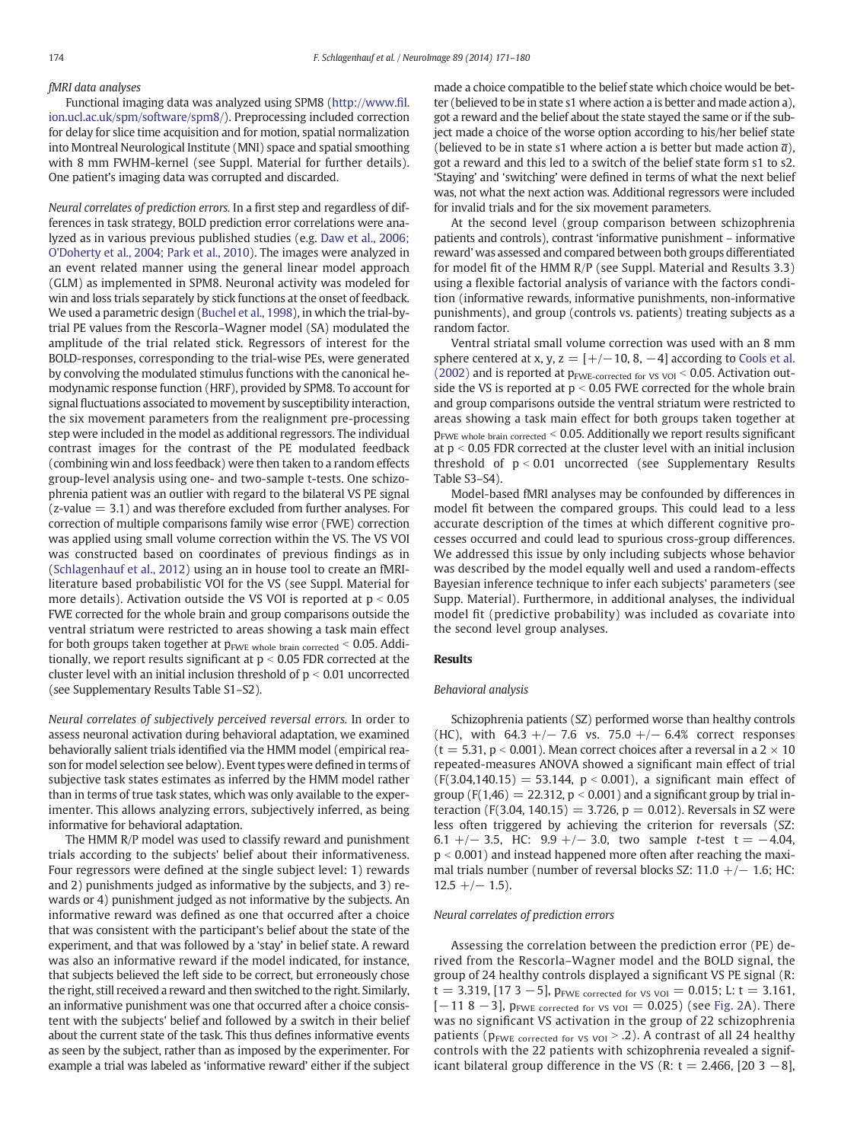# fMRI data analyses

Functional imaging data was analyzed using SPM8 ([http://www.](http://www.fil.ion.ucl.ac.uk/spm/software/spm8/)fil. [ion.ucl.ac.uk/spm/software/spm8/\)](http://www.fil.ion.ucl.ac.uk/spm/software/spm8/). Preprocessing included correction for delay for slice time acquisition and for motion, spatial normalization into Montreal Neurological Institute (MNI) space and spatial smoothing with 8 mm FWHM-kernel (see Suppl. Material for further details). One patient's imaging data was corrupted and discarded.

Neural correlates of prediction errors. In a first step and regardless of differences in task strategy, BOLD prediction error correlations were analyzed as in various previous published studies (e.g. [Daw et al., 2006;](#page-8-0) [O'Doherty et al., 2004; Park et al., 2010](#page-8-0)). The images were analyzed in an event related manner using the general linear model approach (GLM) as implemented in SPM8. Neuronal activity was modeled for win and loss trials separately by stick functions at the onset of feedback. We used a parametric design [\(Buchel et al., 1998](#page-8-0)), in which the trial-bytrial PE values from the Rescorla–Wagner model (SA) modulated the amplitude of the trial related stick. Regressors of interest for the BOLD-responses, corresponding to the trial-wise PEs, were generated by convolving the modulated stimulus functions with the canonical hemodynamic response function (HRF), provided by SPM8. To account for signal fluctuations associated to movement by susceptibility interaction, the six movement parameters from the realignment pre-processing step were included in the model as additional regressors. The individual contrast images for the contrast of the PE modulated feedback (combining win and loss feedback) were then taken to a random effects group-level analysis using one- and two-sample t-tests. One schizophrenia patient was an outlier with regard to the bilateral VS PE signal  $(z$ -value = 3.1) and was therefore excluded from further analyses. For correction of multiple comparisons family wise error (FWE) correction was applied using small volume correction within the VS. The VS VOI was constructed based on coordinates of previous findings as in [\(Schlagenhauf et al., 2012\)](#page-9-0) using an in house tool to create an fMRIliterature based probabilistic VOI for the VS (see Suppl. Material for more details). Activation outside the VS VOI is reported at  $p < 0.05$ FWE corrected for the whole brain and group comparisons outside the ventral striatum were restricted to areas showing a task main effect for both groups taken together at  $p_{\rm FWE}$  whole brain corrected  $\le 0.05$ . Additionally, we report results significant at  $p < 0.05$  FDR corrected at the cluster level with an initial inclusion threshold of  $p < 0.01$  uncorrected (see Supplementary Results Table S1–S2).

Neural correlates of subjectively perceived reversal errors. In order to assess neuronal activation during behavioral adaptation, we examined behaviorally salient trials identified via the HMM model (empirical reason for model selection see below). Event types were defined in terms of subjective task states estimates as inferred by the HMM model rather than in terms of true task states, which was only available to the experimenter. This allows analyzing errors, subjectively inferred, as being informative for behavioral adaptation.

The HMM R/P model was used to classify reward and punishment trials according to the subjects' belief about their informativeness. Four regressors were defined at the single subject level: 1) rewards and 2) punishments judged as informative by the subjects, and 3) rewards or 4) punishment judged as not informative by the subjects. An informative reward was defined as one that occurred after a choice that was consistent with the participant's belief about the state of the experiment, and that was followed by a 'stay' in belief state. A reward was also an informative reward if the model indicated, for instance, that subjects believed the left side to be correct, but erroneously chose the right, still received a reward and then switched to the right. Similarly, an informative punishment was one that occurred after a choice consistent with the subjects' belief and followed by a switch in their belief about the current state of the task. This thus defines informative events as seen by the subject, rather than as imposed by the experimenter. For example a trial was labeled as 'informative reward' either if the subject

made a choice compatible to the belief state which choice would be better (believed to be in state s1 where action a is better and made action a), got a reward and the belief about the state stayed the same or if the subject made a choice of the worse option according to his/her belief state (believed to be in state s1 where action a is better but made action  $\overline{a}$ ), got a reward and this led to a switch of the belief state form s1 to s2. 'Staying' and 'switching' were defined in terms of what the next belief was, not what the next action was. Additional regressors were included for invalid trials and for the six movement parameters.

At the second level (group comparison between schizophrenia patients and controls), contrast 'informative punishment – informative reward' was assessed and compared between both groups differentiated for model fit of the HMM R/P (see Suppl. Material and Results 3.3) using a flexible factorial analysis of variance with the factors condition (informative rewards, informative punishments, non-informative punishments), and group (controls vs. patients) treating subjects as a random factor.

Ventral striatal small volume correction was used with an 8 mm sphere centered at x, y,  $z = [+/-10, 8, -4]$  according to [Cools et al.](#page-8-0) [\(2002\)](#page-8-0) and is reported at  $p_{\text{FWE-corrected for VS VOI}}$  < 0.05. Activation outside the VS is reported at  $p < 0.05$  FWE corrected for the whole brain and group comparisons outside the ventral striatum were restricted to areas showing a task main effect for both groups taken together at PFWE whole brain corrected  $\leq 0.05$ . Additionally we report results significant at  $p < 0.05$  FDR corrected at the cluster level with an initial inclusion threshold of  $p < 0.01$  uncorrected (see Supplementary Results Table S3–S4).

Model-based fMRI analyses may be confounded by differences in model fit between the compared groups. This could lead to a less accurate description of the times at which different cognitive processes occurred and could lead to spurious cross-group differences. We addressed this issue by only including subjects whose behavior was described by the model equally well and used a random-effects Bayesian inference technique to infer each subjects' parameters (see Supp. Material). Furthermore, in additional analyses, the individual model fit (predictive probability) was included as covariate into the second level group analyses.

# Results

# Behavioral analysis

Schizophrenia patients (SZ) performed worse than healthy controls (HC), with  $64.3 +/- 7.6$  vs.  $75.0 +/- 6.4%$  correct responses  $(t = 5.31, p < 0.001)$ . Mean correct choices after a reversal in a 2  $\times$  10 repeated-measures ANOVA showed a significant main effect of trial  $(F(3.04, 140.15) = 53.144, p < 0.001)$ , a significant main effect of group ( $F(1,46) = 22.312$ ,  $p < 0.001$ ) and a significant group by trial interaction (F(3.04, 140.15) = 3.726,  $p = 0.012$ ). Reversals in SZ were less often triggered by achieving the criterion for reversals (SZ: 6.1 +/- 3.5, HC:  $9.9 +/- 3.0$ , two sample t-test t = -4.04,  $p < 0.001$ ) and instead happened more often after reaching the maximal trials number (number of reversal blocks SZ:  $11.0 +/- 1.6$ ; HC:  $12.5 + (-1.5)$ .

#### Neural correlates of prediction errors

Assessing the correlation between the prediction error (PE) derived from the Rescorla–Wagner model and the BOLD signal, the group of 24 healthy controls displayed a significant VS PE signal (R: t = 3.319, [17 3 - 5],  $p_{\text{FWE corrected for VS VOI}} = 0.015$ ; L: t = 3.161, [−11 8 −3], pFWE corrected for VS VOI = 0.025) (see [Fig. 2](#page-4-0)A). There was no significant VS activation in the group of 22 schizophrenia patients ( $p_{\text{FWE corrected for VS VOI}} > .2$ ). A contrast of all 24 healthy controls with the 22 patients with schizophrenia revealed a significant bilateral group difference in the VS (R:  $t = 2.466$ , [20 3 – 8],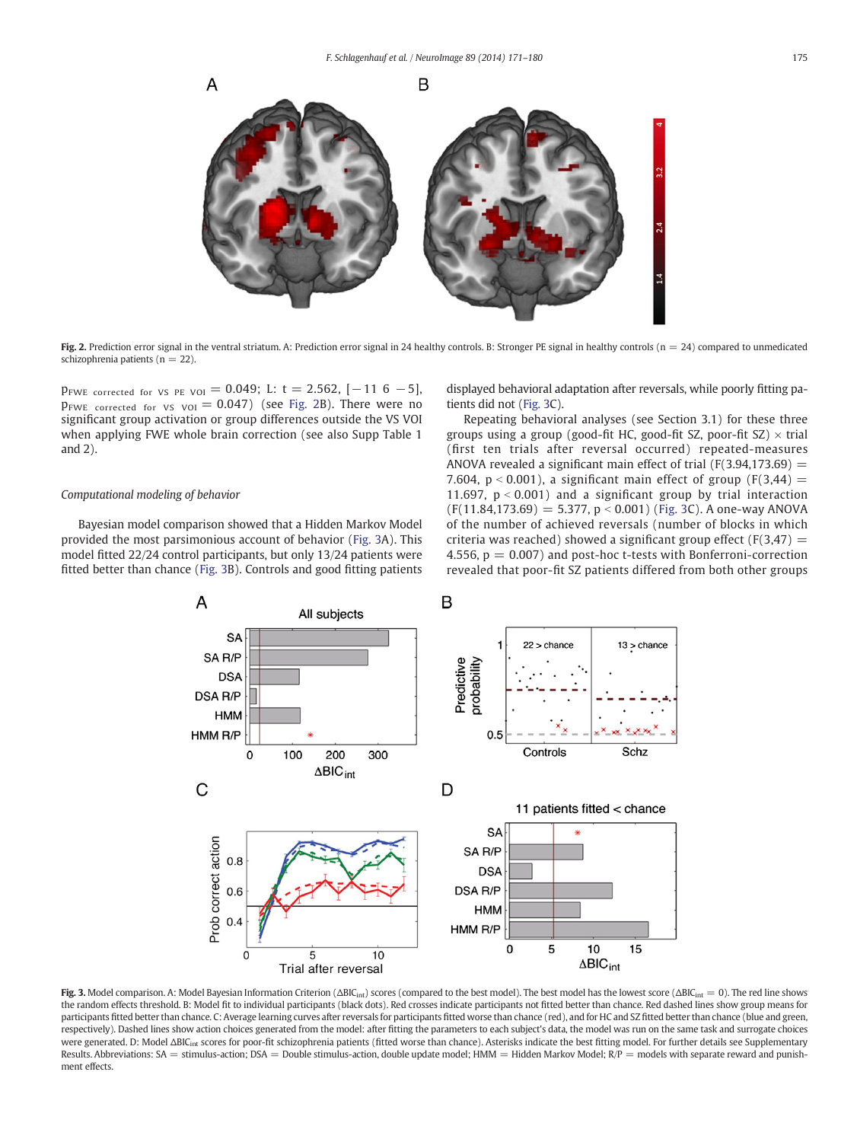<span id="page-4-0"></span>

Fig. 2. Prediction error signal in the ventral striatum. A: Prediction error signal in 24 healthy controls. B: Stronger PE signal in healthy controls (n = 24) compared to unmedicated schizophrenia patients ( $n = 22$ ).

pFWE corrected for VS PE VOI = 0.049; L: t = 2.562, [−11 6 −5], PFWE corrected for VS  $Vol = 0.047$ ) (see Fig. 2B). There were no significant group activation or group differences outside the VS VOI when applying FWE whole brain correction (see also Supp Table 1 and 2).

#### Computational modeling of behavior

Bayesian model comparison showed that a Hidden Markov Model provided the most parsimonious account of behavior (Fig. 3A). This model fitted 22/24 control participants, but only 13/24 patients were fitted better than chance (Fig. 3B). Controls and good fitting patients

displayed behavioral adaptation after reversals, while poorly fitting patients did not (Fig. 3C).

Repeating behavioral analyses (see Section 3.1) for these three groups using a group (good-fit HC, good-fit SZ, poor-fit SZ)  $\times$  trial (first ten trials after reversal occurred) repeated-measures ANOVA revealed a significant main effect of trial (F(3.94,173.69) = 7.604,  $p < 0.001$ ), a significant main effect of group (F(3,44) = 11.697,  $p < 0.001$ ) and a significant group by trial interaction  $(F(11.84, 173.69) = 5.377, p < 0.001)$  (Fig. 3C). A one-way ANOVA of the number of achieved reversals (number of blocks in which criteria was reached) showed a significant group effect ( $F(3,47) =$ 4.556,  $p = 0.007$  and post-hoc t-tests with Bonferroni-correction revealed that poor-fit SZ patients differed from both other groups



Fig. 3. Model comparison. A: Model Bayesian Information Criterion (ΔBIC<sub>int</sub>) scores (compared to the best model). The best model has the lowest score (ΔBIC<sub>int</sub> = 0). The red line shows the random effects threshold. B: Model fit to individual participants (black dots). Red crosses indicate participants not fitted better than chance. Red dashed lines show group means for participants fitted better than chance. C: Average learning curves after reversals for participants fitted worse than chance (red), and for HC and SZ fitted better than chance (blue and green, respectively). Dashed lines show action choices generated from the model: after fitting the parameters to each subject's data, the model was run on the same task and surrogate choices were generated. D: Model ΔBIC<sub>int</sub> scores for poor-fit schizophrenia patients (fitted worse than chance). Asterisks indicate the best fitting model. For further details see Supplementary Results. Abbreviations: SA = stimulus-action; DSA = Double stimulus-action, double update model; HMM = Hidden Markov Model; R/P = models with separate reward and punishment effects.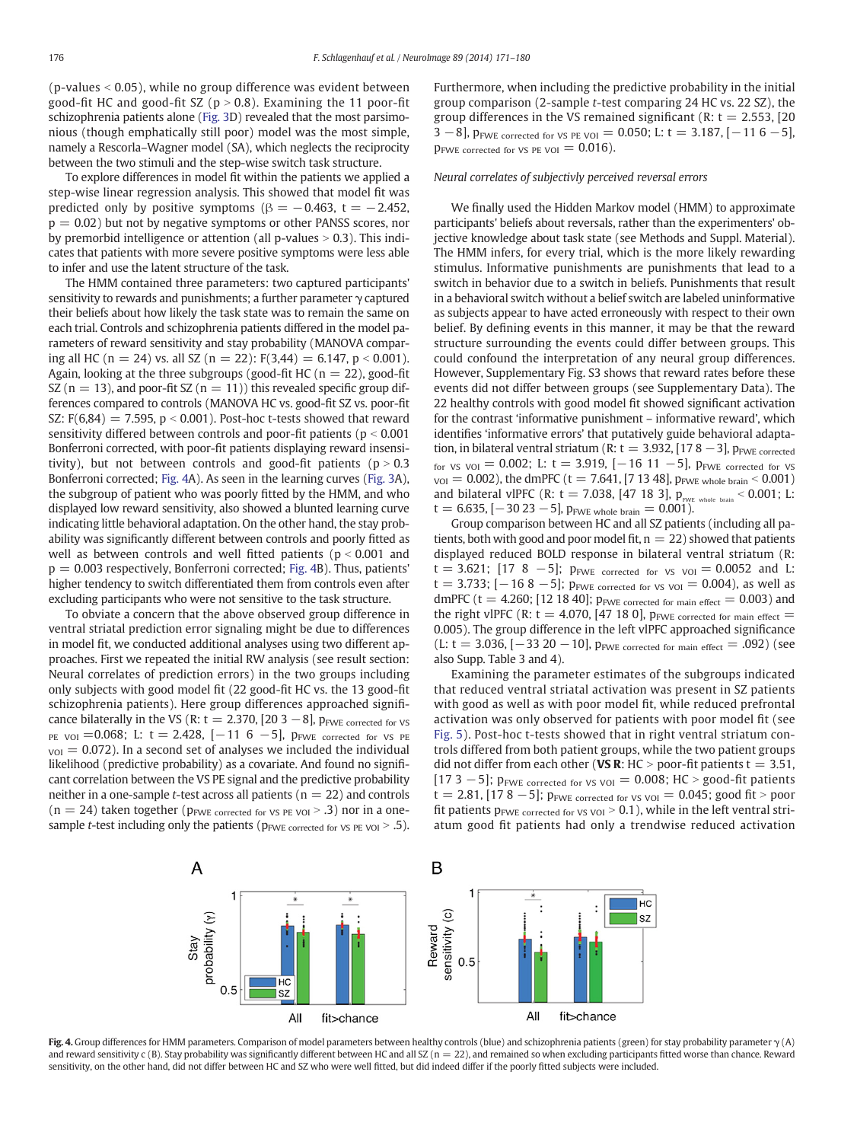( $p$ -values  $\le 0.05$ ), while no group difference was evident between good-fit HC and good-fit SZ ( $p > 0.8$ ). Examining the 11 poor-fit schizophrenia patients alone ([Fig. 3](#page-4-0)D) revealed that the most parsimonious (though emphatically still poor) model was the most simple, namely a Rescorla–Wagner model (SA), which neglects the reciprocity between the two stimuli and the step-wise switch task structure.

To explore differences in model fit within the patients we applied a step-wise linear regression analysis. This showed that model fit was predicted only by positive symptoms ( $\beta = -0.463$ , t = -2.452,  $p = 0.02$ ) but not by negative symptoms or other PANSS scores, nor by premorbid intelligence or attention (all p-values  $> 0.3$ ). This indicates that patients with more severe positive symptoms were less able to infer and use the latent structure of the task.

The HMM contained three parameters: two captured participants' sensitivity to rewards and punishments; a further parameter  $\gamma$  captured their beliefs about how likely the task state was to remain the same on each trial. Controls and schizophrenia patients differed in the model parameters of reward sensitivity and stay probability (MANOVA comparing all HC (n = 24) vs. all SZ (n = 22):  $F(3,44) = 6.147$ , p < 0.001). Again, looking at the three subgroups (good-fit HC ( $n = 22$ ), good-fit SZ ( $n = 13$ ), and poor-fit SZ ( $n = 11$ )) this revealed specific group differences compared to controls (MANOVA HC vs. good-fit SZ vs. poor-fit SZ:  $F(6,84) = 7.595$ ,  $p < 0.001$ ). Post-hoc t-tests showed that reward sensitivity differed between controls and poor-fit patients ( $p < 0.001$ ) Bonferroni corrected, with poor-fit patients displaying reward insensitivity), but not between controls and good-fit patients ( $p > 0.3$ ) Bonferroni corrected; Fig. 4A). As seen in the learning curves ([Fig. 3](#page-4-0)A), the subgroup of patient who was poorly fitted by the HMM, and who displayed low reward sensitivity, also showed a blunted learning curve indicating little behavioral adaptation. On the other hand, the stay probability was significantly different between controls and poorly fitted as well as between controls and well fitted patients ( $p < 0.001$  and  $p = 0.003$  respectively, Bonferroni corrected; Fig. 4B). Thus, patients' higher tendency to switch differentiated them from controls even after excluding participants who were not sensitive to the task structure.

To obviate a concern that the above observed group difference in ventral striatal prediction error signaling might be due to differences in model fit, we conducted additional analyses using two different approaches. First we repeated the initial RW analysis (see result section: Neural correlates of prediction errors) in the two groups including only subjects with good model fit (22 good-fit HC vs. the 13 good-fit schizophrenia patients). Here group differences approached significance bilaterally in the VS (R:  $t = 2.370$ , [20 3  $-8$ ], PFWE corrected for VS PE VOI = 0.068; L:  $t = 2.428$ , [-11 6 -5], PFWE corrected for VS PE  $_{\text{VOI}}$  = 0.072). In a second set of analyses we included the individual likelihood (predictive probability) as a covariate. And found no significant correlation between the VS PE signal and the predictive probability neither in a one-sample *t*-test across all patients ( $n = 22$ ) and controls  $(n = 24)$  taken together ( $p_{\text{FWE corrected for VS PE VOI}} > .3$ ) nor in a onesample *t*-test including only the patients ( $p_{\text{FWE}$  corrected for VS PE VOI  $> .5$ ).

Furthermore, when including the predictive probability in the initial group comparison (2-sample t-test comparing 24 HC vs. 22 SZ), the group differences in the VS remained significant (R:  $t = 2.553$ , [20] 3 −8], P<sub>FWE corrected for VS PE VOI</sub> = 0.050; L: t = 3.187, [-11 6 -5],  $p_{\text{FWE corrected for VS PE VOI}} = 0.016$ ).

#### Neural correlates of subjectivly perceived reversal errors

We finally used the Hidden Markov model (HMM) to approximate participants' beliefs about reversals, rather than the experimenters' objective knowledge about task state (see Methods and Suppl. Material). The HMM infers, for every trial, which is the more likely rewarding stimulus. Informative punishments are punishments that lead to a switch in behavior due to a switch in beliefs. Punishments that result in a behavioral switch without a belief switch are labeled uninformative as subjects appear to have acted erroneously with respect to their own belief. By defining events in this manner, it may be that the reward structure surrounding the events could differ between groups. This could confound the interpretation of any neural group differences. However, Supplementary Fig. S3 shows that reward rates before these events did not differ between groups (see Supplementary Data). The 22 healthy controls with good model fit showed significant activation for the contrast 'informative punishment – informative reward', which identifies 'informative errors' that putatively guide behavioral adaptation, in bilateral ventral striatum (R:  $t = 3.932$ , [17 8 – 3],  $p_{\text{FWE corrected}}$ for VS VOI = 0.002; L:  $t = 3.919$ ,  $[-16 11 -5]$ ,  $p_{FWE}$  corrected for VS  $V_{\text{VOI}} = 0.002$ ), the dmPFC (t = 7.641, [7 13 48],  $p_{\text{FWE}}$  whole brain  $\le 0.001$ ) and bilateral vlPFC (R: t = 7.038, [47 18 3],  $p_{\text{FWE} \text{ whole brain}} < 0.001$ ; L:  $t = 6.635$ , [ $-3023 - 5$ ],  $p_{\text{FWE whole brain}} = 0.001$ ).

Group comparison between HC and all SZ patients (including all patients, both with good and poor model fit,  $n = 22$ ) showed that patients displayed reduced BOLD response in bilateral ventral striatum (R:  $t = 3.621$ ; [17 8 -5];  $p_{FWE}$  corrected for VS VOI = 0.0052 and L: t = 3.733; [-16 8 -5];  $p_{\text{FWE corrected for VS VOI}} = 0.004$ ), as well as dmPFC ( $t = 4.260$ ; [12 18 40];  $p_{\text{FWE}$  corrected for main effect  $= 0.003$ ) and the right vlPFC (R:  $t = 4.070$ , [47 18 0], PFWE corrected for main effect = 0.005). The group difference in the left vlPFC approached significance (L:  $t = 3.036$ ,  $[-33 20 -10]$ ,  $p_{\text{FWE corrected for main effect}} = .092$ ) (see also Supp. Table 3 and 4).

Examining the parameter estimates of the subgroups indicated that reduced ventral striatal activation was present in SZ patients with good as well as with poor model fit, while reduced prefrontal activation was only observed for patients with poor model fit (see [Fig. 5\)](#page-6-0). Post-hoc t-tests showed that in right ventral striatum controls differed from both patient groups, while the two patient groups did not differ from each other (**VS R**: HC  $>$  poor-fit patients t = 3.51, [17 3  $-5$ ]; PFWE corrected for VS VOI = 0.008; HC > good-fit patients  $t = 2.81$ , [17 8 - 5];  $p_{\text{FWE corrected for VS VOI}} = 0.045$ ; good fit > poor fit patients  $p_{\text{FWE corrected for VS VOI}} > 0.1$ ), while in the left ventral striatum good fit patients had only a trendwise reduced activation



Fig. 4. Group differences for HMM parameters. Comparison of model parameters between healthy controls (blue) and schizophrenia patients (green) for stay probability parameter γ (A) and reward sensitivity c (B). Stay probability was significantly different between HC and all SZ ( $n = 22$ ), and remained so when excluding participants fitted worse than chance. Reward sensitivity, on the other hand, did not differ between HC and SZ who were well fitted, but did indeed differ if the poorly fitted subjects were included.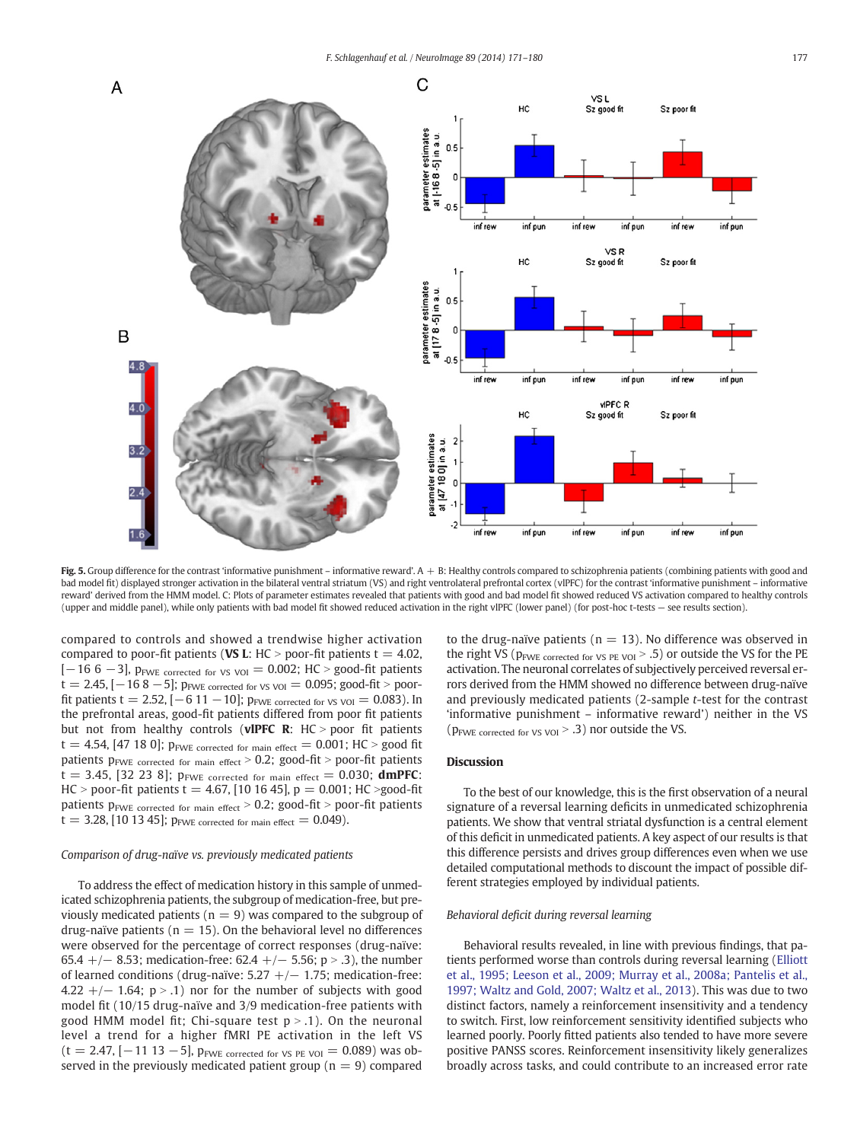<span id="page-6-0"></span>

Fig. 5. Group difference for the contrast 'informative punishment – informative reward'.  $A + B$ : Healthy controls compared to schizophrenia patients (combining patients with good and bad model fit) displayed stronger activation in the bilateral ventral striatum (VS) and right ventrolateral prefrontal cortex (vlPFC) for the contrast 'informative punishment – informative reward' derived from the HMM model. C: Plots of parameter estimates revealed that patients with good and bad model fit showed reduced VS activation compared to healthy controls (upper and middle panel), while only patients with bad model fit showed reduced activation in the right vlPFC (lower panel) (for post-hoc t-tests — see results section).

compared to controls and showed a trendwise higher activation compared to poor-fit patients (**VS L**: HC > poor-fit patients t = 4.02,  $[-16 6 -3]$ , PFWE corrected for VS VOI = 0.002; HC > good-fit patients  $t = 2.45$ , [ $-168 - 5$ ];  $p_{\text{FWE corrected for VS VO}} = 0.095$ ; good-fit > poorfit patients t = 2.52,  $[-6 11 - 10]$ ;  $p_{FWE}$  corrected for VS VOI = 0.083). In the prefrontal areas, good-fit patients differed from poor fit patients but not from healthy controls (vlPFC R:  $HC >$  poor fit patients  $t = 4.54$ , [47 18 0];  $p_{\text{FWE corrected for main effect}} = 0.001$ ; HC > good fit patients  $p_{\text{FWE}}$  corrected for main effect  $> 0.2$ ; good-fit  $>$  poor-fit patients  $t = 3.45$ , [32 23 8]; PFWE corrected for main effect = 0.030; dmPFC:  $HC >$  poor-fit patients t = 4.67, [10 16 45], p = 0.001; HC  $>$  good-fit patients  $p_{\text{FWE corrected for main effect}} > 0.2$ ; good-fit > poor-fit patients  $t = 3.28$ , [10 13 45]; PFWE corrected for main effect = 0.049).

# Comparison of drug-naïve vs. previously medicated patients

To address the effect of medication history in this sample of unmedicated schizophrenia patients, the subgroup of medication-free, but previously medicated patients ( $n = 9$ ) was compared to the subgroup of drug-naïve patients ( $n = 15$ ). On the behavioral level no differences were observed for the percentage of correct responses (drug-naïve: 65.4 +/- 8.53; medication-free: 62.4 +/- 5.56; p > .3), the number of learned conditions (drug-naïve:  $5.27 +/- 1.75$ ; medication-free: 4.22 +/ $-$  1.64; p > .1) nor for the number of subjects with good model fit (10/15 drug-naïve and 3/9 medication-free patients with good HMM model fit; Chi-square test  $p > .1$ ). On the neuronal level a trend for a higher fMRI PE activation in the left VS  $(t = 2.47, [-11 13 - 5]$ ,  $p_{\text{FWE corrected for VS PE VOI}} = 0.089$ ) was observed in the previously medicated patient group ( $n = 9$ ) compared

to the drug-naïve patients ( $n = 13$ ). No difference was observed in the right VS ( $p_{\text{FWE corrected for VS PE VOI}} > .5$ ) or outside the VS for the PE activation. The neuronal correlates of subjectively perceived reversal errors derived from the HMM showed no difference between drug-naïve and previously medicated patients (2-sample t-test for the contrast 'informative punishment – informative reward') neither in the VS ( $p_{\text{FWE corrected for VS VOI}} > .3$ ) nor outside the VS.

# Discussion

To the best of our knowledge, this is the first observation of a neural signature of a reversal learning deficits in unmedicated schizophrenia patients. We show that ventral striatal dysfunction is a central element of this deficit in unmedicated patients. A key aspect of our results is that this difference persists and drives group differences even when we use detailed computational methods to discount the impact of possible different strategies employed by individual patients.

#### Behavioral deficit during reversal learning

Behavioral results revealed, in line with previous findings, that patients performed worse than controls during reversal learning [\(Elliott](#page-8-0) [et al., 1995; Leeson et al., 2009; Murray et al., 2008a; Pantelis et al.,](#page-8-0) [1997; Waltz and Gold, 2007; Waltz et al., 2013\)](#page-8-0). This was due to two distinct factors, namely a reinforcement insensitivity and a tendency to switch. First, low reinforcement sensitivity identified subjects who learned poorly. Poorly fitted patients also tended to have more severe positive PANSS scores. Reinforcement insensitivity likely generalizes broadly across tasks, and could contribute to an increased error rate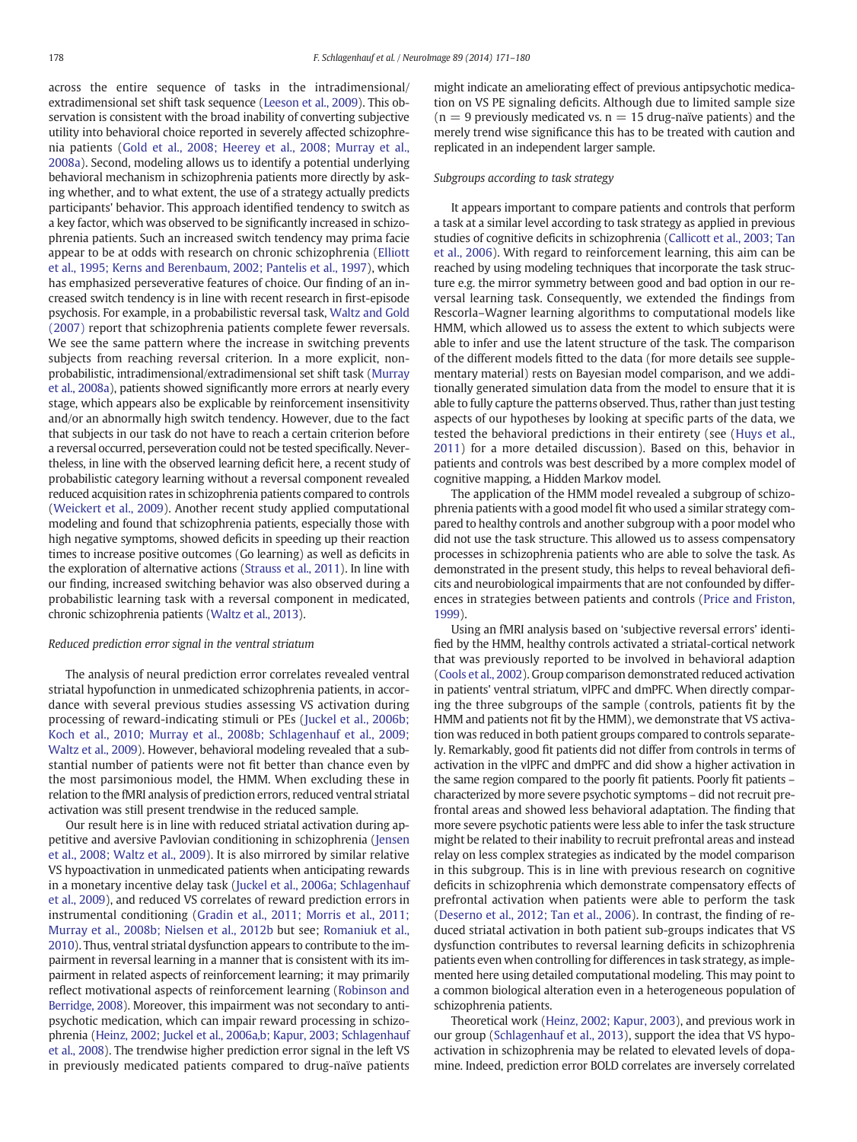across the entire sequence of tasks in the intradimensional/ extradimensional set shift task sequence [\(Leeson et al., 2009\)](#page-9-0). This observation is consistent with the broad inability of converting subjective utility into behavioral choice reported in severely affected schizophrenia patients [\(Gold et al., 2008; Heerey et al., 2008; Murray et al.,](#page-8-0) [2008a\)](#page-8-0). Second, modeling allows us to identify a potential underlying behavioral mechanism in schizophrenia patients more directly by asking whether, and to what extent, the use of a strategy actually predicts participants' behavior. This approach identified tendency to switch as a key factor, which was observed to be significantly increased in schizophrenia patients. Such an increased switch tendency may prima facie appear to be at odds with research on chronic schizophrenia ([Elliott](#page-8-0) [et al., 1995; Kerns and Berenbaum, 2002; Pantelis et al., 1997](#page-8-0)), which has emphasized perseverative features of choice. Our finding of an increased switch tendency is in line with recent research in first-episode psychosis. For example, in a probabilistic reversal task, [Waltz and Gold](#page-9-0) [\(2007\)](#page-9-0) report that schizophrenia patients complete fewer reversals. We see the same pattern where the increase in switching prevents subjects from reaching reversal criterion. In a more explicit, nonprobabilistic, intradimensional/extradimensional set shift task [\(Murray](#page-9-0) [et al., 2008a\)](#page-9-0), patients showed significantly more errors at nearly every stage, which appears also be explicable by reinforcement insensitivity and/or an abnormally high switch tendency. However, due to the fact that subjects in our task do not have to reach a certain criterion before a reversal occurred, perseveration could not be tested specifically. Nevertheless, in line with the observed learning deficit here, a recent study of probabilistic category learning without a reversal component revealed reduced acquisition rates in schizophrenia patients compared to controls [\(Weickert et al., 2009\)](#page-9-0). Another recent study applied computational modeling and found that schizophrenia patients, especially those with high negative symptoms, showed deficits in speeding up their reaction times to increase positive outcomes (Go learning) as well as deficits in the exploration of alternative actions [\(Strauss et al., 2011](#page-9-0)). In line with our finding, increased switching behavior was also observed during a probabilistic learning task with a reversal component in medicated, chronic schizophrenia patients ([Waltz et al., 2013](#page-9-0)).

#### Reduced prediction error signal in the ventral striatum

The analysis of neural prediction error correlates revealed ventral striatal hypofunction in unmedicated schizophrenia patients, in accordance with several previous studies assessing VS activation during processing of reward-indicating stimuli or PEs ([Juckel et al., 2006b;](#page-8-0) [Koch et al., 2010; Murray et al., 2008b; Schlagenhauf et al., 2009;](#page-8-0) [Waltz et al., 2009](#page-8-0)). However, behavioral modeling revealed that a substantial number of patients were not fit better than chance even by the most parsimonious model, the HMM. When excluding these in relation to the fMRI analysis of prediction errors, reduced ventral striatal activation was still present trendwise in the reduced sample.

Our result here is in line with reduced striatal activation during appetitive and aversive Pavlovian conditioning in schizophrenia [\(Jensen](#page-8-0) [et al., 2008; Waltz et al., 2009](#page-8-0)). It is also mirrored by similar relative VS hypoactivation in unmedicated patients when anticipating rewards in a monetary incentive delay task [\(Juckel et al., 2006a; Schlagenhauf](#page-8-0) [et al., 2009](#page-8-0)), and reduced VS correlates of reward prediction errors in instrumental conditioning [\(Gradin et al., 2011; Morris et al., 2011;](#page-8-0) [Murray et al., 2008b; Nielsen et al., 2012b](#page-8-0) but see; [Romaniuk et al.,](#page-9-0) [2010](#page-9-0)). Thus, ventral striatal dysfunction appears to contribute to the impairment in reversal learning in a manner that is consistent with its impairment in related aspects of reinforcement learning; it may primarily reflect motivational aspects of reinforcement learning [\(Robinson and](#page-9-0) [Berridge, 2008](#page-9-0)). Moreover, this impairment was not secondary to antipsychotic medication, which can impair reward processing in schizophrenia ([Heinz, 2002; Juckel et al., 2006a,b; Kapur, 2003; Schlagenhauf](#page-8-0) [et al., 2008](#page-8-0)). The trendwise higher prediction error signal in the left VS in previously medicated patients compared to drug-naïve patients

might indicate an ameliorating effect of previous antipsychotic medication on VS PE signaling deficits. Although due to limited sample size  $(n = 9$  previously medicated vs.  $n = 15$  drug-naïve patients) and the merely trend wise significance this has to be treated with caution and replicated in an independent larger sample.

#### Subgroups according to task strategy

It appears important to compare patients and controls that perform a task at a similar level according to task strategy as applied in previous studies of cognitive deficits in schizophrenia [\(Callicott et al., 2003; Tan](#page-8-0) [et al., 2006](#page-8-0)). With regard to reinforcement learning, this aim can be reached by using modeling techniques that incorporate the task structure e.g. the mirror symmetry between good and bad option in our reversal learning task. Consequently, we extended the findings from Rescorla–Wagner learning algorithms to computational models like HMM, which allowed us to assess the extent to which subjects were able to infer and use the latent structure of the task. The comparison of the different models fitted to the data (for more details see supplementary material) rests on Bayesian model comparison, and we additionally generated simulation data from the model to ensure that it is able to fully capture the patterns observed. Thus, rather than just testing aspects of our hypotheses by looking at specific parts of the data, we tested the behavioral predictions in their entirety (see [\(Huys et al.,](#page-8-0) [2011](#page-8-0)) for a more detailed discussion). Based on this, behavior in patients and controls was best described by a more complex model of cognitive mapping, a Hidden Markov model.

The application of the HMM model revealed a subgroup of schizophrenia patients with a good model fit who used a similar strategy compared to healthy controls and another subgroup with a poor model who did not use the task structure. This allowed us to assess compensatory processes in schizophrenia patients who are able to solve the task. As demonstrated in the present study, this helps to reveal behavioral deficits and neurobiological impairments that are not confounded by differences in strategies between patients and controls [\(Price and Friston,](#page-9-0) [1999\)](#page-9-0).

Using an fMRI analysis based on 'subjective reversal errors' identified by the HMM, healthy controls activated a striatal-cortical network that was previously reported to be involved in behavioral adaption [\(Cools et al., 2002](#page-8-0)). Group comparison demonstrated reduced activation in patients' ventral striatum, vlPFC and dmPFC. When directly comparing the three subgroups of the sample (controls, patients fit by the HMM and patients not fit by the HMM), we demonstrate that VS activation was reduced in both patient groups compared to controls separately. Remarkably, good fit patients did not differ from controls in terms of activation in the vlPFC and dmPFC and did show a higher activation in the same region compared to the poorly fit patients. Poorly fit patients – characterized by more severe psychotic symptoms – did not recruit prefrontal areas and showed less behavioral adaptation. The finding that more severe psychotic patients were less able to infer the task structure might be related to their inability to recruit prefrontal areas and instead relay on less complex strategies as indicated by the model comparison in this subgroup. This is in line with previous research on cognitive deficits in schizophrenia which demonstrate compensatory effects of prefrontal activation when patients were able to perform the task [\(Deserno et al., 2012; Tan et al., 2006\)](#page-8-0). In contrast, the finding of reduced striatal activation in both patient sub-groups indicates that VS dysfunction contributes to reversal learning deficits in schizophrenia patients even when controlling for differences in task strategy, as implemented here using detailed computational modeling. This may point to a common biological alteration even in a heterogeneous population of schizophrenia patients.

Theoretical work [\(Heinz, 2002; Kapur, 2003\)](#page-8-0), and previous work in our group ([Schlagenhauf et al., 2013\)](#page-9-0), support the idea that VS hypoactivation in schizophrenia may be related to elevated levels of dopamine. Indeed, prediction error BOLD correlates are inversely correlated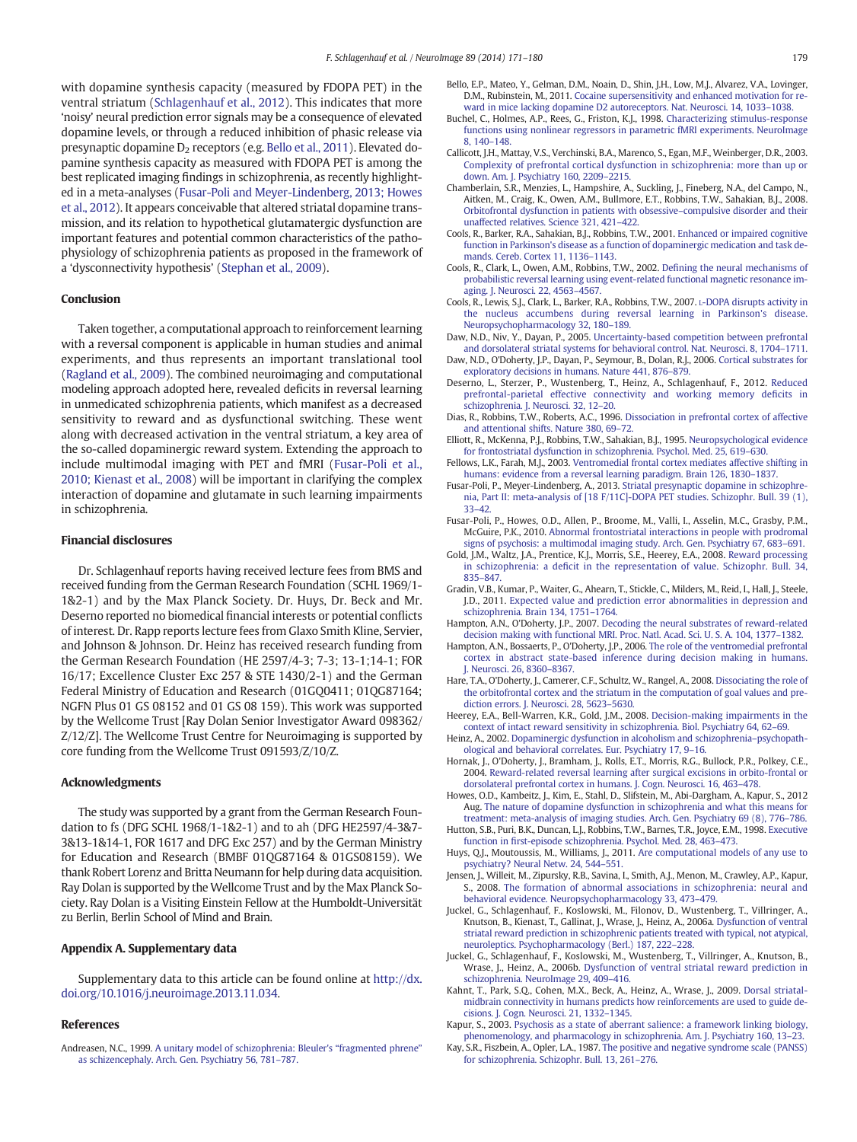<span id="page-8-0"></span>with dopamine synthesis capacity (measured by FDOPA PET) in the ventral striatum [\(Schlagenhauf et al., 2012\)](#page-9-0). This indicates that more 'noisy' neural prediction error signals may be a consequence of elevated dopamine levels, or through a reduced inhibition of phasic release via presynaptic dopamine  $D<sub>2</sub>$  receptors (e.g. Bello et al., 2011). Elevated dopamine synthesis capacity as measured with FDOPA PET is among the best replicated imaging findings in schizophrenia, as recently highlighted in a meta-analyses (Fusar-Poli and Meyer-Lindenberg, 2013; Howes et al., 2012). It appears conceivable that altered striatal dopamine transmission, and its relation to hypothetical glutamatergic dysfunction are important features and potential common characteristics of the pathophysiology of schizophrenia patients as proposed in the framework of a 'dysconnectivity hypothesis' [\(Stephan et al., 2009\)](#page-9-0).

#### **Conclusion**

Taken together, a computational approach to reinforcement learning with a reversal component is applicable in human studies and animal experiments, and thus represents an important translational tool [\(Ragland et al., 2009](#page-9-0)). The combined neuroimaging and computational modeling approach adopted here, revealed deficits in reversal learning in unmedicated schizophrenia patients, which manifest as a decreased sensitivity to reward and as dysfunctional switching. These went along with decreased activation in the ventral striatum, a key area of the so-called dopaminergic reward system. Extending the approach to include multimodal imaging with PET and fMRI (Fusar-Poli et al., 2010; Kienast et al., 2008) will be important in clarifying the complex interaction of dopamine and glutamate in such learning impairments in schizophrenia.

# Financial disclosures

Dr. Schlagenhauf reports having received lecture fees from BMS and received funding from the German Research Foundation (SCHL 1969/1- 1&2-1) and by the Max Planck Society. Dr. Huys, Dr. Beck and Mr. Deserno reported no biomedical financial interests or potential conflicts of interest. Dr. Rapp reports lecture fees from Glaxo Smith Kline, Servier, and Johnson & Johnson. Dr. Heinz has received research funding from the German Research Foundation (HE 2597/4-3; 7-3; 13-1;14-1; FOR 16/17; Excellence Cluster Exc 257 & STE 1430/2-1) and the German Federal Ministry of Education and Research (01GQ0411; 01QG87164; NGFN Plus 01 GS 08152 and 01 GS 08 159). This work was supported by the Wellcome Trust [Ray Dolan Senior Investigator Award 098362/ Z/12/Z]. The Wellcome Trust Centre for Neuroimaging is supported by core funding from the Wellcome Trust 091593/Z/10/Z.

# Acknowledgments

The study was supported by a grant from the German Research Foundation to fs (DFG SCHL 1968/1-1&2-1) and to ah (DFG HE2597/4-3&7- 3&13-1&14-1, FOR 1617 and DFG Exc 257) and by the German Ministry for Education and Research (BMBF 01QG87164 & 01GS08159). We thank Robert Lorenz and Britta Neumann for help during data acquisition. Ray Dolan is supported by the Wellcome Trust and by the Max Planck Society. Ray Dolan is a Visiting Einstein Fellow at the Humboldt-Universität zu Berlin, Berlin School of Mind and Brain.

#### Appendix A. Supplementary data

Supplementary data to this article can be found online at [http://dx.](http://dx.doi.org/10.1016/j.neuroimage.2013.11.034) [doi.org/10.1016/j.neuroimage.2013.11.034.](http://dx.doi.org/10.1016/j.neuroimage.2013.11.034)

#### References

Andreasen, N.C., 1999. [A unitary model of schizophrenia: Bleuler's](http://refhub.elsevier.com/S1053-8119(13)01158-0/rf0005) "fragmented phrene" [as schizencephaly. Arch. Gen. Psychiatry 56, 781](http://refhub.elsevier.com/S1053-8119(13)01158-0/rf0005)–787.

- Bello, E.P., Mateo, Y., Gelman, D.M., Noain, D., Shin, J.H., Low, M.J., Alvarez, V.A., Lovinger, D.M., Rubinstein, M., 2011. [Cocaine supersensitivity and enhanced motivation for re](http://refhub.elsevier.com/S1053-8119(13)01158-0/rf0010)[ward in mice lacking dopamine D2 autoreceptors. Nat. Neurosci. 14, 1033](http://refhub.elsevier.com/S1053-8119(13)01158-0/rf0010)–1038.
- Buchel, C., Holmes, A.P., Rees, G., Friston, K.J., 1998. [Characterizing stimulus-response](http://refhub.elsevier.com/S1053-8119(13)01158-0/rf0015) [functions using nonlinear regressors in parametric fMRI experiments. NeuroImage](http://refhub.elsevier.com/S1053-8119(13)01158-0/rf0015) [8, 140](http://refhub.elsevier.com/S1053-8119(13)01158-0/rf0015)–148.
- Callicott, J.H., Mattay, V.S., Verchinski, B.A., Marenco, S., Egan, M.F., Weinberger, D.R., 2003. [Complexity of prefrontal cortical dysfunction in schizophrenia: more than up or](http://refhub.elsevier.com/S1053-8119(13)01158-0/rf0020) [down. Am. J. Psychiatry 160, 2209](http://refhub.elsevier.com/S1053-8119(13)01158-0/rf0020)–2215.
- Chamberlain, S.R., Menzies, L., Hampshire, A., Suckling, J., Fineberg, N.A., del Campo, N., Aitken, M., Craig, K., Owen, A.M., Bullmore, E.T., Robbins, T.W., Sahakian, B.J., 2008. [Orbitofrontal dysfunction in patients with obsessive](http://refhub.elsevier.com/S1053-8119(13)01158-0/rf0305)–compulsive disorder and their [unaffected relatives. Science 321, 421](http://refhub.elsevier.com/S1053-8119(13)01158-0/rf0305)–422.
- Cools, R., Barker, R.A., Sahakian, B.J., Robbins, T.W., 2001. [Enhanced or impaired cognitive](http://refhub.elsevier.com/S1053-8119(13)01158-0/rf0310) [function in Parkinson's disease as a function of dopaminergic medication and task de](http://refhub.elsevier.com/S1053-8119(13)01158-0/rf0310)[mands. Cereb. Cortex 11, 1136](http://refhub.elsevier.com/S1053-8119(13)01158-0/rf0310)–1143.
- Cools, R., Clark, L., Owen, A.M., Robbins, T.W., 2002. Defi[ning the neural mechanisms of](http://refhub.elsevier.com/S1053-8119(13)01158-0/rf0030) [probabilistic reversal learning using event-related functional magnetic resonance im](http://refhub.elsevier.com/S1053-8119(13)01158-0/rf0030)[aging. J. Neurosci. 22, 4563](http://refhub.elsevier.com/S1053-8119(13)01158-0/rf0030)–4567.
- Cools, R., Lewis, S.J., Clark, L., Barker, R.A., Robbins, T.W., 2007. [L-DOPA disrupts activity in](http://refhub.elsevier.com/S1053-8119(13)01158-0/rf0035) [the nucleus accumbens during reversal learning in Parkinson's disease.](http://refhub.elsevier.com/S1053-8119(13)01158-0/rf0035) [Neuropsychopharmacology 32, 180](http://refhub.elsevier.com/S1053-8119(13)01158-0/rf0035)–189.
- Daw, N.D., Niv, Y., Dayan, P., 2005. [Uncertainty-based competition between prefrontal](http://refhub.elsevier.com/S1053-8119(13)01158-0/rf0040) [and dorsolateral striatal systems for behavioral control. Nat. Neurosci. 8, 1704](http://refhub.elsevier.com/S1053-8119(13)01158-0/rf0040)–1711.
- Daw, N.D., O'Doherty, J.P., Dayan, P., Seymour, B., Dolan, R.J., 2006. [Cortical substrates for](http://refhub.elsevier.com/S1053-8119(13)01158-0/rf0045) [exploratory decisions in humans. Nature 441, 876](http://refhub.elsevier.com/S1053-8119(13)01158-0/rf0045)–879.
- Deserno, L., Sterzer, P., Wustenberg, T., Heinz, A., Schlagenhauf, F., 2012. [Reduced](http://refhub.elsevier.com/S1053-8119(13)01158-0/rf0050) [prefrontal-parietal effective connectivity and working memory de](http://refhub.elsevier.com/S1053-8119(13)01158-0/rf0050)ficits in [schizophrenia. J. Neurosci. 32, 12](http://refhub.elsevier.com/S1053-8119(13)01158-0/rf0050)–20.
- Dias, R., Robbins, T.W., Roberts, A.C., 1996. [Dissociation in prefrontal cortex of affective](http://refhub.elsevier.com/S1053-8119(13)01158-0/rf0055) [and attentional shifts. Nature 380, 69](http://refhub.elsevier.com/S1053-8119(13)01158-0/rf0055)–72.
- Elliott, R., McKenna, P.J., Robbins, T.W., Sahakian, B.J., 1995. [Neuropsychological evidence](http://refhub.elsevier.com/S1053-8119(13)01158-0/rf0060) [for frontostriatal dysfunction in schizophrenia. Psychol. Med. 25, 619](http://refhub.elsevier.com/S1053-8119(13)01158-0/rf0060)–630.
- Fellows, L.K., Farah, M.J., 2003. [Ventromedial frontal cortex mediates affective shifting in](http://refhub.elsevier.com/S1053-8119(13)01158-0/rf0065) [humans: evidence from a reversal learning paradigm. Brain 126, 1830](http://refhub.elsevier.com/S1053-8119(13)01158-0/rf0065)–1837.
- Fusar-Poli, P., Meyer-Lindenberg, A., 2013. [Striatal presynaptic dopamine in schizophre](http://refhub.elsevier.com/S1053-8119(13)01158-0/rf0315)[nia, Part II: meta-analysis of \[18 F/11C\]-DOPA PET studies. Schizophr. Bull. 39 \(1\),](http://refhub.elsevier.com/S1053-8119(13)01158-0/rf0315) [33](http://refhub.elsevier.com/S1053-8119(13)01158-0/rf0315)–42.
- Fusar-Poli, P., Howes, O.D., Allen, P., Broome, M., Valli, I., Asselin, M.C., Grasby, P.M., McGuire, P.K., 2010. [Abnormal frontostriatal interactions in people with prodromal](http://refhub.elsevier.com/S1053-8119(13)01158-0/rf0070) [signs of psychosis: a multimodal imaging study. Arch. Gen. Psychiatry 67, 683](http://refhub.elsevier.com/S1053-8119(13)01158-0/rf0070)–691.
- Gold, J.M., Waltz, J.A., Prentice, K.J., Morris, S.E., Heerey, E.A., 2008. [Reward processing](http://refhub.elsevier.com/S1053-8119(13)01158-0/rf0080) in schizophrenia: a defi[cit in the representation of value. Schizophr. Bull. 34,](http://refhub.elsevier.com/S1053-8119(13)01158-0/rf0080) [835](http://refhub.elsevier.com/S1053-8119(13)01158-0/rf0080)–847.
- Gradin, V.B., Kumar, P., Waiter, G., Ahearn, T., Stickle, C., Milders, M., Reid, I., Hall, J., Steele, J.D., 2011. [Expected value and prediction error abnormalities in depression and](http://refhub.elsevier.com/S1053-8119(13)01158-0/rf0320) [schizophrenia. Brain 134, 1751](http://refhub.elsevier.com/S1053-8119(13)01158-0/rf0320)–1764.
- Hampton, A.N., O'Doherty, J.P., 2007. [Decoding the neural substrates of reward-related](http://refhub.elsevier.com/S1053-8119(13)01158-0/rf0325) [decision making with functional MRI. Proc. Natl. Acad. Sci. U. S. A. 104, 1377](http://refhub.elsevier.com/S1053-8119(13)01158-0/rf0325)–1382.
- Hampton, A.N., Bossaerts, P., O'Doherty, J.P., 2006. [The role of the ventromedial prefrontal](http://refhub.elsevier.com/S1053-8119(13)01158-0/rf0090) [cortex in abstract state-based inference during decision making in humans.](http://refhub.elsevier.com/S1053-8119(13)01158-0/rf0090) [J. Neurosci. 26, 8360](http://refhub.elsevier.com/S1053-8119(13)01158-0/rf0090)–8367.
- Hare, T.A., O'Doherty, J., Camerer, C.F., Schultz, W., Rangel, A., 2008. [Dissociating the role of](http://refhub.elsevier.com/S1053-8119(13)01158-0/rf0095) [the orbitofrontal cortex and the striatum in the computation of goal values and pre](http://refhub.elsevier.com/S1053-8119(13)01158-0/rf0095)[diction errors. J. Neurosci. 28, 5623](http://refhub.elsevier.com/S1053-8119(13)01158-0/rf0095)–5630.
- Heerey, E.A., Bell-Warren, K.R., Gold, J.M., 2008. [Decision-making impairments in the](http://refhub.elsevier.com/S1053-8119(13)01158-0/rf0100) [context of intact reward sensitivity in schizophrenia. Biol. Psychiatry 64, 62](http://refhub.elsevier.com/S1053-8119(13)01158-0/rf0100)–69.
- Heinz, A., 2002. [Dopaminergic dysfunction in alcoholism and schizophrenia](http://refhub.elsevier.com/S1053-8119(13)01158-0/rf0105)–psychopath[ological and behavioral correlates. Eur. Psychiatry 17, 9](http://refhub.elsevier.com/S1053-8119(13)01158-0/rf0105)–16.
- Hornak, J., O'Doherty, J., Bramham, J., Rolls, E.T., Morris, R.G., Bullock, P.R., Polkey, C.E., 2004. [Reward-related reversal learning after surgical excisions in orbito-frontal or](http://refhub.elsevier.com/S1053-8119(13)01158-0/rf0110) [dorsolateral prefrontal cortex in humans. J. Cogn. Neurosci. 16, 463](http://refhub.elsevier.com/S1053-8119(13)01158-0/rf0110)–478.
- Howes, O.D., Kambeitz, J., Kim, E., Stahl, D., Slifstein, M., Abi-Dargham, A., Kapur, S., 2012 Aug. [The nature of dopamine dysfunction in schizophrenia and what this means for](http://refhub.elsevier.com/S1053-8119(13)01158-0/rf0330) [treatment: meta-analysis of imaging studies. Arch. Gen. Psychiatry 69 \(8\), 776](http://refhub.elsevier.com/S1053-8119(13)01158-0/rf0330)–786.
- Hutton, S.B., Puri, B.K., Duncan, L.J., Robbins, T.W., Barnes, T.R., Joyce, E.M., 1998. [Executive](http://refhub.elsevier.com/S1053-8119(13)01158-0/rf0120) function in fi[rst-episode schizophrenia. Psychol. Med. 28, 463](http://refhub.elsevier.com/S1053-8119(13)01158-0/rf0120)–473.
- Huys, Q.J., Moutoussis, M., Williams, J., 2011. [Are computational models of any use to](http://refhub.elsevier.com/S1053-8119(13)01158-0/rf0125) [psychiatry? Neural Netw. 24, 544](http://refhub.elsevier.com/S1053-8119(13)01158-0/rf0125)–551.
- Jensen, J., Willeit, M., Zipursky, R.B., Savina, I., Smith, A.J., Menon, M., Crawley, A.P., Kapur, S., 2008. [The formation of abnormal associations in schizophrenia: neural and](http://refhub.elsevier.com/S1053-8119(13)01158-0/rf0130) [behavioral evidence. Neuropsychopharmacology 33, 473](http://refhub.elsevier.com/S1053-8119(13)01158-0/rf0130)–479.
- Juckel, G., Schlagenhauf, F., Koslowski, M., Filonov, D., Wustenberg, T., Villringer, A., Knutson, B., Kienast, T., Gallinat, J., Wrase, J., Heinz, A., 2006a. [Dysfunction of ventral](http://refhub.elsevier.com/S1053-8119(13)01158-0/rf0135) [striatal reward prediction in schizophrenic patients treated with typical, not atypical,](http://refhub.elsevier.com/S1053-8119(13)01158-0/rf0135) [neuroleptics. Psychopharmacology \(Berl.\) 187, 222](http://refhub.elsevier.com/S1053-8119(13)01158-0/rf0135)–228.
- Juckel, G., Schlagenhauf, F., Koslowski, M., Wustenberg, T., Villringer, A., Knutson, B., Wrase, J., Heinz, A., 2006b. [Dysfunction of ventral striatal reward prediction in](http://refhub.elsevier.com/S1053-8119(13)01158-0/rf0140) [schizophrenia. NeuroImage 29, 409](http://refhub.elsevier.com/S1053-8119(13)01158-0/rf0140)–416.
- Kahnt, T., Park, S.Q., Cohen, M.X., Beck, A., Heinz, A., Wrase, J., 2009. [Dorsal striatal](http://refhub.elsevier.com/S1053-8119(13)01158-0/rf0145)[midbrain connectivity in humans predicts how reinforcements are used to guide de](http://refhub.elsevier.com/S1053-8119(13)01158-0/rf0145)[cisions. J. Cogn. Neurosci. 21, 1332](http://refhub.elsevier.com/S1053-8119(13)01158-0/rf0145)–1345.
- Kapur, S., 2003. [Psychosis as a state of aberrant salience: a framework linking biology,](http://refhub.elsevier.com/S1053-8119(13)01158-0/rf0150) [phenomenology, and pharmacology in schizophrenia. Am. J. Psychiatry 160, 13](http://refhub.elsevier.com/S1053-8119(13)01158-0/rf0150)–23.
- Kay, S.R., Fiszbein, A., Opler, L.A., 1987. [The positive and negative syndrome scale \(PANSS\)](http://refhub.elsevier.com/S1053-8119(13)01158-0/rf0155) [for schizophrenia. Schizophr. Bull. 13, 261](http://refhub.elsevier.com/S1053-8119(13)01158-0/rf0155)–276.